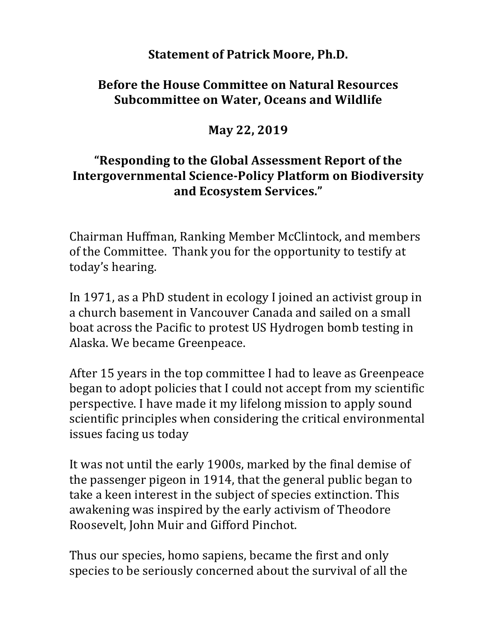## **Statement of Patrick Moore, Ph.D.**

## **Before the House Committee on Natural Resources Subcommittee on Water, Oceans and Wildlife**

**May 22, 2019**

## **"Responding to the Global Assessment Report of the Intergovernmental Science-Policy Platform on Biodiversity and Ecosystem Services."**

Chairman Huffman, Ranking Member McClintock, and members of the Committee. Thank you for the opportunity to testify at today's hearing.

In 1971, as a PhD student in ecology I joined an activist group in a church basement in Vancouver Canada and sailed on a small boat across the Pacific to protest US Hydrogen bomb testing in Alaska. We became Greenpeace.

After 15 years in the top committee I had to leave as Greenpeace began to adopt policies that I could not accept from my scientific perspective. I have made it my lifelong mission to apply sound scientific principles when considering the critical environmental issues facing us today

It was not until the early 1900s, marked by the final demise of the passenger pigeon in 1914, that the general public began to take a keen interest in the subject of species extinction. This awakening was inspired by the early activism of Theodore Roosevelt, John Muir and Gifford Pinchot.

Thus our species, homo sapiens, became the first and only species to be seriously concerned about the survival of all the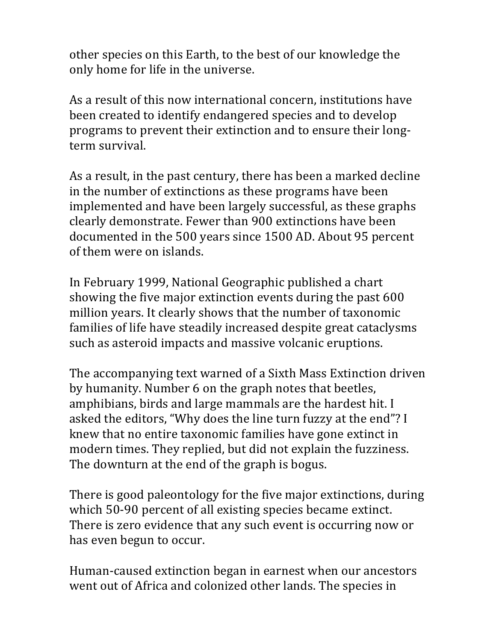other species on this Earth, to the best of our knowledge the only home for life in the universe.

As a result of this now international concern, institutions have been created to identify endangered species and to develop programs to prevent their extinction and to ensure their longterm survival.

As a result, in the past century, there has been a marked decline in the number of extinctions as these programs have been implemented and have been largely successful, as these graphs clearly demonstrate. Fewer than 900 extinctions have been documented in the 500 years since 1500 AD. About 95 percent of them were on islands.

In February 1999, National Geographic published a chart showing the five major extinction events during the past 600 million years. It clearly shows that the number of taxonomic families of life have steadily increased despite great cataclysms such as asteroid impacts and massive volcanic eruptions.

The accompanying text warned of a Sixth Mass Extinction driven by humanity. Number 6 on the graph notes that beetles, amphibians, birds and large mammals are the hardest hit. I asked the editors, "Why does the line turn fuzzy at the end"? I knew that no entire taxonomic families have gone extinct in modern times. They replied, but did not explain the fuzziness. The downturn at the end of the graph is bogus.

There is good paleontology for the five major extinctions, during which 50-90 percent of all existing species became extinct. There is zero evidence that any such event is occurring now or has even begun to occur.

Human-caused extinction began in earnest when our ancestors went out of Africa and colonized other lands. The species in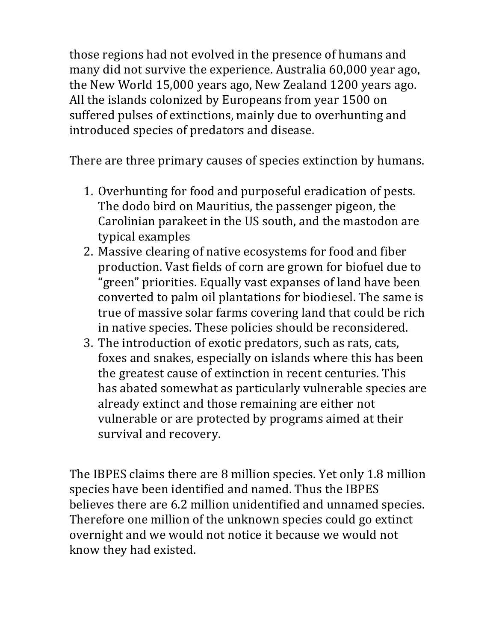those regions had not evolved in the presence of humans and many did not survive the experience. Australia 60,000 year ago, the New World 15,000 years ago, New Zealand 1200 years ago. All the islands colonized by Europeans from year 1500 on suffered pulses of extinctions, mainly due to overhunting and introduced species of predators and disease.

There are three primary causes of species extinction by humans.

- 1. Overhunting for food and purposeful eradication of pests. The dodo bird on Mauritius, the passenger pigeon, the Carolinian parakeet in the US south, and the mastodon are typical examples
- 2. Massive clearing of native ecosystems for food and fiber production. Vast fields of corn are grown for biofuel due to "green" priorities. Equally vast expanses of land have been converted to palm oil plantations for biodiesel. The same is true of massive solar farms covering land that could be rich in native species. These policies should be reconsidered.
- 3. The introduction of exotic predators, such as rats, cats, foxes and snakes, especially on islands where this has been the greatest cause of extinction in recent centuries. This has abated somewhat as particularly vulnerable species are already extinct and those remaining are either not vulnerable or are protected by programs aimed at their survival and recovery.

The IBPES claims there are 8 million species. Yet only 1.8 million species have been identified and named. Thus the IBPES believes there are 6.2 million unidentified and unnamed species. Therefore one million of the unknown species could go extinct overnight and we would not notice it because we would not know they had existed.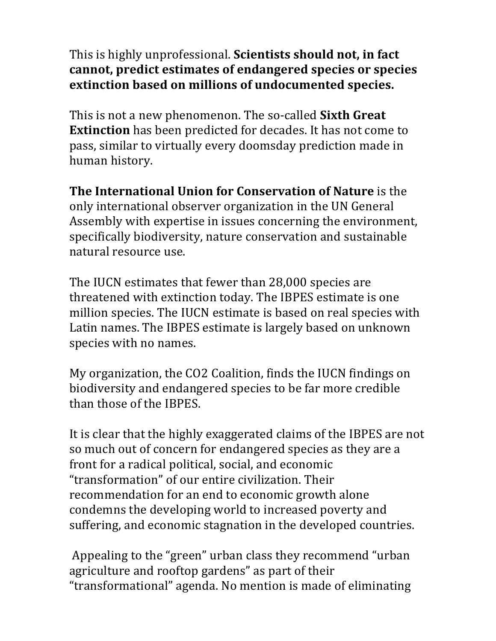This is highly unprofessional. **Scientists should not, in fact** cannot, predict estimates of endangered species or species **extinction based on millions of undocumented species.**

This is not a new phenomenon. The so-called **Sixth Great Extinction** has been predicted for decades. It has not come to pass, similar to virtually every doomsday prediction made in human history.

**The International Union for Conservation of Nature** is the only international observer organization in the UN General Assembly with expertise in issues concerning the environment, specifically biodiversity, nature conservation and sustainable natural resource use.

The IUCN estimates that fewer than 28,000 species are threatened with extinction today. The IBPES estimate is one million species. The IUCN estimate is based on real species with Latin names. The IBPES estimate is largely based on unknown species with no names.

My organization, the CO2 Coalition, finds the IUCN findings on biodiversity and endangered species to be far more credible than those of the IBPES.

It is clear that the highly exaggerated claims of the IBPES are not so much out of concern for endangered species as they are a front for a radical political, social, and economic "transformation" of our entire civilization. Their recommendation for an end to economic growth alone condemns the developing world to increased poverty and suffering, and economic stagnation in the developed countries.

Appealing to the "green" urban class they recommend "urban agriculture and rooftop gardens" as part of their "transformational" agenda. No mention is made of eliminating